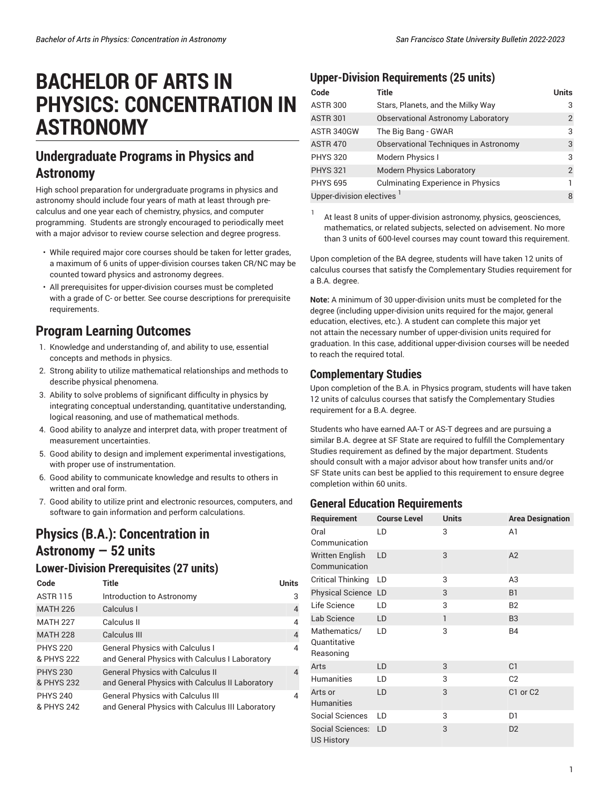# **BACHELOR OF ARTS IN PHYSICS: CONCENTRATION IN ASTRONOMY**

## **Undergraduate Programs in Physics and Astronomy**

High school preparation for undergraduate programs in physics and astronomy should include four years of math at least through precalculus and one year each of chemistry, physics, and computer programming. Students are strongly encouraged to periodically meet with a major advisor to review course selection and degree progress.

- While required major core courses should be taken for letter grades, a maximum of 6 units of upper-division courses taken CR/NC may be counted toward physics and astronomy degrees.
- All prerequisites for upper-division courses must be completed with a grade of C- or better. See course descriptions for prerequisite requirements.

## **Program Learning Outcomes**

- 1. Knowledge and understanding of, and ability to use, essential concepts and methods in physics.
- 2. Strong ability to utilize mathematical relationships and methods to describe physical phenomena.
- 3. Ability to solve problems of significant difficulty in physics by integrating conceptual understanding, quantitative understanding, logical reasoning, and use of mathematical methods.
- 4. Good ability to analyze and interpret data, with proper treatment of measurement uncertainties.
- 5. Good ability to design and implement experimental investigations, with proper use of instrumentation.
- 6. Good ability to communicate knowledge and results to others in written and oral form.
- 7. Good ability to utilize print and electronic resources, computers, and software to gain information and perform calculations.

## **Physics (B.A.): Concentration in Astronomy — 52 units**

#### **Lower-Division Prerequisites (27 units)**

| Code                          | Title                                                                                        | <b>Units</b>   |
|-------------------------------|----------------------------------------------------------------------------------------------|----------------|
| <b>ASTR 115</b>               | Introduction to Astronomy                                                                    | 3              |
| <b>MATH 226</b>               | Calculus I                                                                                   | $\overline{4}$ |
| <b>MATH 227</b>               | Calculus II                                                                                  | $\overline{4}$ |
| <b>MATH 228</b>               | Calculus III                                                                                 | $\overline{4}$ |
| <b>PHYS 220</b><br>& PHYS 222 | <b>General Physics with Calculus I</b><br>and General Physics with Calculus I Laboratory     | $\overline{4}$ |
| <b>PHYS 230</b><br>& PHYS 232 | <b>General Physics with Calculus II</b><br>and General Physics with Calculus II Laboratory   | $\overline{4}$ |
| <b>PHYS 240</b><br>& PHYS 242 | <b>General Physics with Calculus III</b><br>and General Physics with Calculus III Laboratory | 4              |

#### **Upper-Division Requirements (25 units)**

| Code                     | <b>Title</b>                              | <b>Units</b>   |
|--------------------------|-------------------------------------------|----------------|
| <b>ASTR 300</b>          | Stars, Planets, and the Milky Way         | 3              |
| <b>ASTR 301</b>          | <b>Observational Astronomy Laboratory</b> | 2              |
| ASTR 340GW               | The Big Bang - GWAR                       | 3              |
| <b>ASTR 470</b>          | Observational Techniques in Astronomy     | 3              |
| <b>PHYS 320</b>          | Modern Physics I                          | 3              |
| <b>PHYS 321</b>          | <b>Modern Physics Laboratory</b>          | $\overline{2}$ |
| <b>PHYS 695</b>          | <b>Culminating Experience in Physics</b>  |                |
| Upper-division electives |                                           |                |

1 At least 8 units of upper-division astronomy, physics, geosciences, mathematics, or related subjects, selected on advisement. No more than 3 units of 600-level courses may count toward this requirement.

Upon completion of the BA degree, students will have taken 12 units of calculus courses that satisfy the Complementary Studies requirement for a B.A. degree.

**Note:** A minimum of 30 upper-division units must be completed for the degree (including upper-division units required for the major, general education, electives, etc.). A student can complete this major yet not attain the necessary number of upper-division units required for graduation. In this case, additional upper-division courses will be needed to reach the required total.

#### **Complementary Studies**

Upon completion of the B.A. in Physics program, students will have taken 12 units of calculus courses that satisfy the Complementary Studies requirement for a B.A. degree.

Students who have earned AA-T or AS-T degrees and are pursuing a similar B.A. degree at SF State are required to fulfill the Complementary Studies requirement as defined by the major department. Students should consult with a major advisor about how transfer units and/or SF State units can best be applied to this requirement to ensure degree completion within 60 units.

#### **General Education Requirements**

| Requirement                               | <b>Course Level</b> | <b>Units</b> | <b>Area Designation</b> |
|-------------------------------------------|---------------------|--------------|-------------------------|
| Oral                                      | LD                  | 3            | A1                      |
| Communication                             |                     |              |                         |
| <b>Written English</b>                    | LD                  | 3            | A2                      |
| Communication                             |                     |              |                         |
| <b>Critical Thinking</b>                  | LD                  | 3            | A3                      |
| Physical Science LD                       |                     | 3            | B <sub>1</sub>          |
| Life Science                              | LD                  | 3            | <b>B2</b>               |
| Lab Science                               | LD                  | 1            | B <sub>3</sub>          |
| Mathematics/<br>Quantitative<br>Reasoning | LD                  | 3            | <b>B4</b>               |
| Arts                                      | LD                  | 3            | C <sub>1</sub>          |
| <b>Humanities</b>                         | LD                  | 3            | C <sub>2</sub>          |
| Arts or<br><b>Humanities</b>              | LD                  | 3            | C1 or C2                |
| Social Sciences                           | LD                  | 3            | D1                      |
| Social Sciences:<br><b>US History</b>     | LD                  | 3            | D <sub>2</sub>          |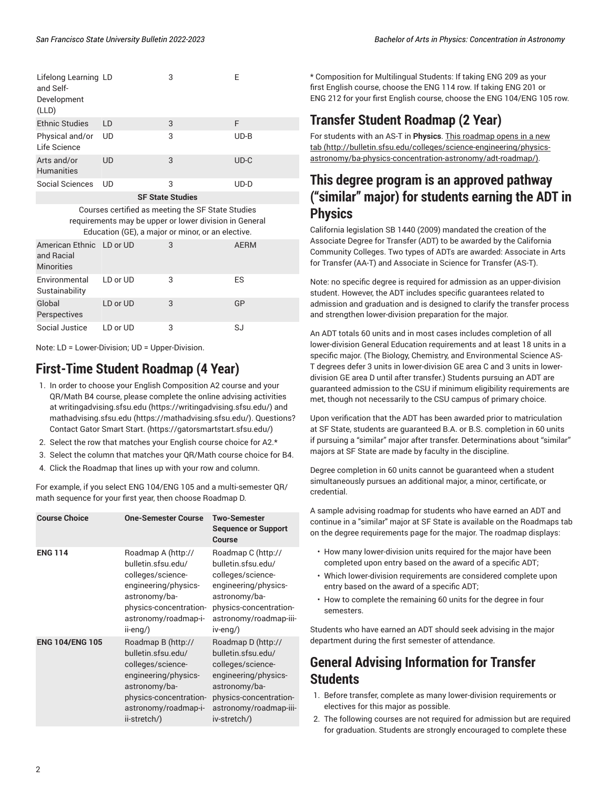| Lifelong Learning LD<br>and Self-<br>Development<br>(LLD) |    | 3 | Е      |
|-----------------------------------------------------------|----|---|--------|
| <b>Ethnic Studies</b>                                     | LD | 3 | F      |
| Physical and/or<br>Life Science                           | UD | 3 | $UD-B$ |
| Arts and/or<br><b>Humanities</b>                          | UD | 3 | $UD-C$ |
| Social Sciences                                           | UD | 3 | $UD-D$ |
| <b>SF State Studies</b>                                   |    |   |        |

Courses certified as meeting the SF State Studies requirements may be upper or lower division in General

| Education (GE), a major or minor, or an elective. |  |  |      |
|---------------------------------------------------|--|--|------|
| American Ethnic LD or UD                          |  |  | AFRM |
| and Racial                                        |  |  |      |

| <u>uisivisuun </u><br><b>Minorities</b> |          |   |    |
|-----------------------------------------|----------|---|----|
| Environmental<br>Sustainability         | LD or UD | 3 | ES |
| Global<br>Perspectives                  | LD or UD | 3 | GP |
| Social Justice                          | LD or UD | 3 | SJ |

Note: LD = Lower-Division; UD = Upper-Division.

## **First-Time Student Roadmap (4 Year)**

- 1. In order to choose your English Composition A2 course and your QR/Math B4 course, please complete the online advising activities at [writingadvising.sfsu.edu](https://writingadvising.sfsu.edu/) ([https://writingadvising.sfsu.edu/\)](https://writingadvising.sfsu.edu/) and [mathadvising.sfsu.edu](https://mathadvising.sfsu.edu/) ([https://mathadvising.sfsu.edu/\)](https://mathadvising.sfsu.edu/). Questions? Contact Gator [Smart](https://gatorsmartstart.sfsu.edu/) Start. ([https://gatorsmartstart.sfsu.edu/\)](https://gatorsmartstart.sfsu.edu/)
- 2. Select the row that matches your English course choice for A2.\*
- 3. Select the column that matches your QR/Math course choice for B4.
- 4. Click the Roadmap that lines up with your row and column.

For example, if you select ENG 104/ENG 105 and a multi-semester QR/ math sequence for your first year, then choose Roadmap D.

| <b>Course Choice</b>   | <b>One-Semester Course</b>                                                                                                                                               | <b>Two-Semester</b><br><b>Sequence or Support</b><br>Course                                                                                                                |
|------------------------|--------------------------------------------------------------------------------------------------------------------------------------------------------------------------|----------------------------------------------------------------------------------------------------------------------------------------------------------------------------|
| <b>ENG 114</b>         | Roadmap A (http://<br>bulletin.sfsu.edu/<br>colleges/science-<br>engineering/physics-<br>astronomy/ba-<br>physics-concentration-<br>astronomy/roadmap-i-<br>ii-eng/)     | Roadmap C (http://<br>bulletin.sfsu.edu/<br>colleges/science-<br>engineering/physics-<br>astronomy/ba-<br>physics-concentration-<br>astronomy/roadmap-iii-<br>iv-eng/)     |
| <b>ENG 104/ENG 105</b> | Roadmap B (http://<br>bulletin.sfsu.edu/<br>colleges/science-<br>engineering/physics-<br>astronomy/ba-<br>physics-concentration-<br>astronomy/roadmap-i-<br>ii-stretch/) | Roadmap D (http://<br>bulletin.sfsu.edu/<br>colleges/science-<br>engineering/physics-<br>astronomy/ba-<br>physics-concentration-<br>astronomy/roadmap-iii-<br>iv-stretch/) |

\* Composition for Multilingual Students: If taking ENG 209 as your first English course, choose the ENG 114 row. If taking ENG 201 or ENG 212 for your first English course, choose the ENG 104/ENG 105 row.

## **Transfer Student Roadmap (2 Year)**

For students with an AS-T in **Physics**. This [roadmap](http://bulletin.sfsu.edu/colleges/science-engineering/physics-astronomy/ba-physics-concentration-astronomy/adt-roadmap/) opens in a new [tab](http://bulletin.sfsu.edu/colleges/science-engineering/physics-astronomy/ba-physics-concentration-astronomy/adt-roadmap/) ([http://bulletin.sfsu.edu/colleges/science-engineering/physics](http://bulletin.sfsu.edu/colleges/science-engineering/physics-astronomy/ba-physics-concentration-astronomy/adt-roadmap/)[astronomy/ba-physics-concentration-astronomy/adt-roadmap/\)](http://bulletin.sfsu.edu/colleges/science-engineering/physics-astronomy/ba-physics-concentration-astronomy/adt-roadmap/).

### **This degree program is an approved pathway ("similar" major) for students earning the ADT in Physics**

California legislation SB 1440 (2009) mandated the creation of the Associate Degree for Transfer (ADT) to be awarded by the California Community Colleges. Two types of ADTs are awarded: Associate in Arts for Transfer (AA-T) and Associate in Science for Transfer (AS-T).

Note: no specific degree is required for admission as an upper-division student. However, the ADT includes specific guarantees related to admission and graduation and is designed to clarify the transfer process and strengthen lower-division preparation for the major.

An ADT totals 60 units and in most cases includes completion of all lower-division General Education requirements and at least 18 units in a specific major. (The Biology, Chemistry, and Environmental Science AS-T degrees defer 3 units in lower-division GE area C and 3 units in lowerdivision GE area D until after transfer.) Students pursuing an ADT are guaranteed admission to the CSU if minimum eligibility requirements are met, though not necessarily to the CSU campus of primary choice.

Upon verification that the ADT has been awarded prior to matriculation at SF State, students are guaranteed B.A. or B.S. completion in 60 units if pursuing a "similar" major after transfer. Determinations about "similar" majors at SF State are made by faculty in the discipline.

Degree completion in 60 units cannot be guaranteed when a student simultaneously pursues an additional major, a minor, certificate, or credential.

A sample advising roadmap for students who have earned an ADT and continue in a "similar" major at SF State is available on the Roadmaps tab on the degree requirements page for the major. The roadmap displays:

- How many lower-division units required for the major have been completed upon entry based on the award of a specific ADT;
- Which lower-division requirements are considered complete upon entry based on the award of a specific ADT;
- How to complete the remaining 60 units for the degree in four semesters.

Students who have earned an ADT should seek advising in the major department during the first semester of attendance.

## **General Advising Information for Transfer Students**

- 1. Before transfer, complete as many lower-division requirements or electives for this major as possible.
- 2. The following courses are not required for admission but are required for graduation. Students are strongly encouraged to complete these